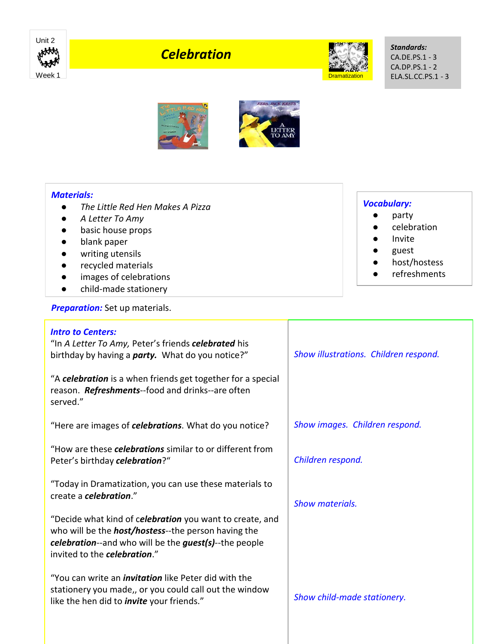

# *Celebration*



*Standards:* CA.DE.PS.1 - 3 CA.DP.PS.1 - 2 ELA.SL.CC.PS.1 - 3





# *Materials:*

- *The Little Red Hen Makes A Pizza*
- *A Letter To Amy*
- basic house props
- blank paper
- writing utensils
- recycled materials
- images of celebrations
- child-made stationery

**Preparation:** Set up materials.

## *Intro to Centers:*

"In *A Letter To Amy,* Peter's friends *celebrated* his birthday by having a *party.* What do you notice?"

"A *celebration* is a when friends get together for a special reason. *Refreshments*--food and drinks--are often served."

"Here are images of *celebrations*. What do you notice?

"How are these *celebrations* similar to or different from Peter's birthday *celebration*?"

"Today in Dramatization, you can use these materials to create a *celebration*."

"Decide what kind of c*elebration* you want to create, and who will be the *host/hostess*--the person having the *celebration*--and who will be the *guest(s)*--the people invited to the *celebration*."

"You can write an *invitation* like Peter did with the stationery you made,, or you could call out the window like the hen did to *invite* your friends."

#### *Vocabulary:*

- party
- celebration
- **Invite**
- guest
- host/hostess
- refreshments

*Show images. Children respond.*

*Show illustrations. Children respond.*

*Children respond.*

*Show materials.* 

*Show child-made stationery.*